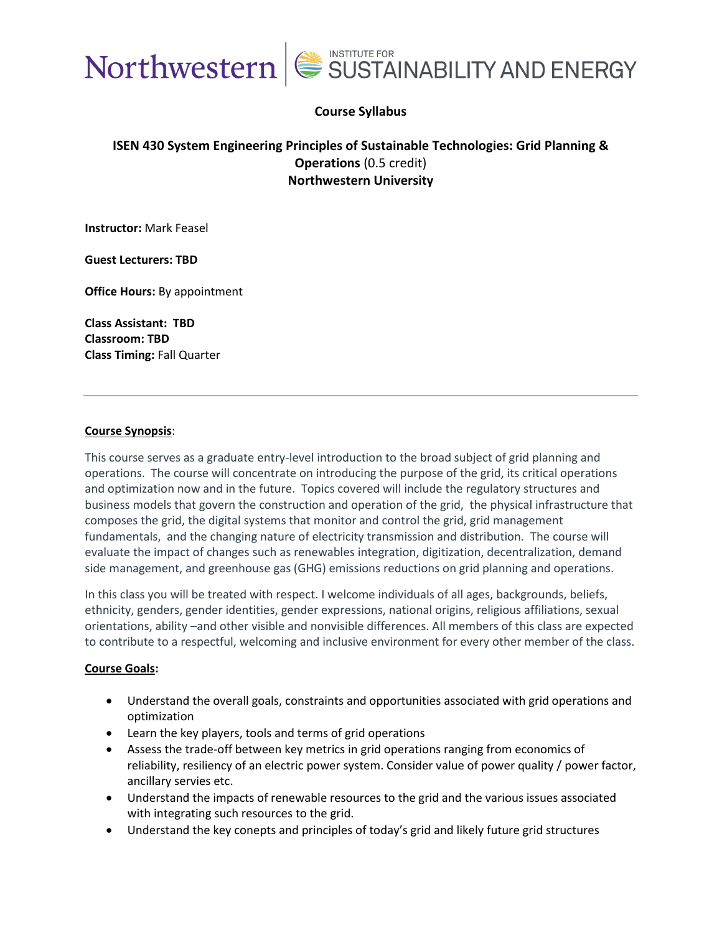

#### **Course Syllabus**

### **ISEN 430 System Engineering Principles of Sustainable Technologies: Grid Planning & Operations** (0.5 credit) **Northwestern University**

**Instructor:** Mark Feasel

**Guest Lecturers: TBD**

**Office Hours:** By appointment

**Class Assistant: TBD Classroom: TBD Class Timing:** Fall Quarter

#### **Course Synopsis**:

This course serves as a graduate entry-level introduction to the broad subject of grid planning and operations. The course will concentrate on introducing the purpose of the grid, its critical operations and optimization now and in the future. Topics covered will include the regulatory structures and business models that govern the construction and operation of the grid, the physical infrastructure that composes the grid, the digital systems that monitor and control the grid, grid management fundamentals, and the changing nature of electricity transmission and distribution. The course will evaluate the impact of changes such as renewables integration, digitization, decentralization, demand side management, and greenhouse gas (GHG) emissions reductions on grid planning and operations.

In this class you will be treated with respect. I welcome individuals of all ages, backgrounds, beliefs, ethnicity, genders, gender identities, gender expressions, national origins, religious affiliations, sexual orientations, ability –and other visible and nonvisible differences. All members of this class are expected to contribute to a respectful, welcoming and inclusive environment for every other member of the class.

#### **Course Goals:**

- Understand the overall goals, constraints and opportunities associated with grid operations and optimization
- Learn the key players, tools and terms of grid operations
- Assess the trade-off between key metrics in grid operations ranging from economics of reliability, resiliency of an electric power system. Consider value of power quality / power factor, ancillary servies etc.
- Understand the impacts of renewable resources to the grid and the various issues associated with integrating such resources to the grid.
- Understand the key conepts and principles of today's grid and likely future grid structures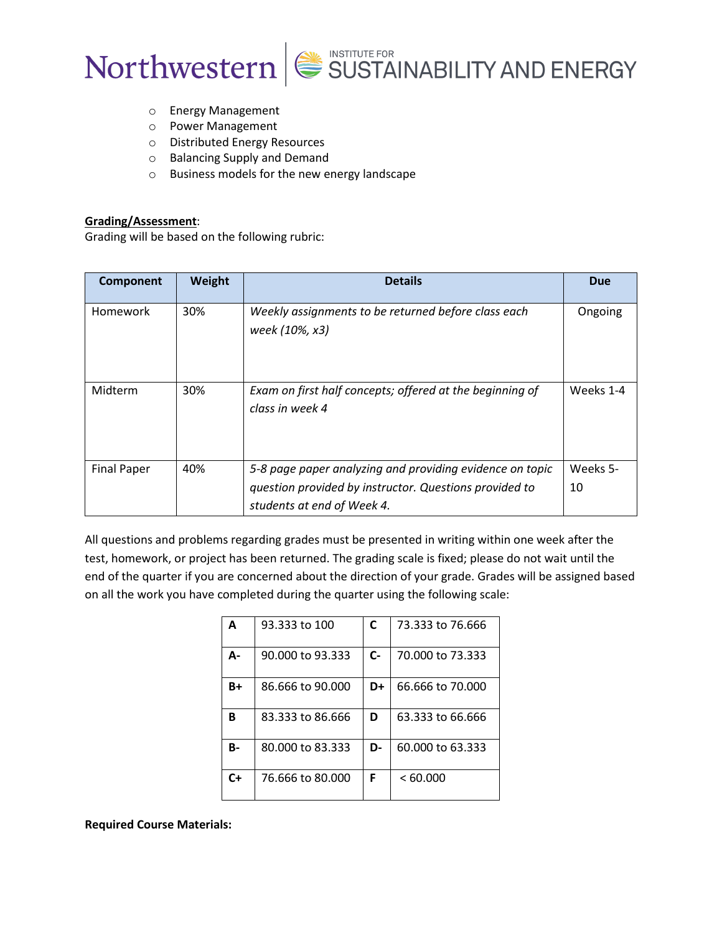



- o Energy Management
- o Power Management
- o Distributed Energy Resources
- o Balancing Supply and Demand
- o Business models for the new energy landscape

#### **Grading/Assessment**:

Grading will be based on the following rubric:

| Component          | Weight | <b>Details</b>                                                                                                     | <b>Due</b>     |
|--------------------|--------|--------------------------------------------------------------------------------------------------------------------|----------------|
| <b>Homework</b>    | 30%    | Weekly assignments to be returned before class each<br>week (10%, x3)                                              | Ongoing        |
| Midterm            | 30%    | Exam on first half concepts; offered at the beginning of<br>class in week 4                                        | Weeks 1-4      |
| <b>Final Paper</b> | 40%    | 5-8 page paper analyzing and providing evidence on topic<br>question provided by instructor. Questions provided to | Weeks 5-<br>10 |
|                    |        | students at end of Week 4.                                                                                         |                |

All questions and problems regarding grades must be presented in writing within one week after the test, homework, or project has been returned. The grading scale is fixed; please do not wait until the end of the quarter if you are concerned about the direction of your grade. Grades will be assigned based on all the work you have completed during the quarter using the following scale:

| $\Delta$  | 93.333 to 100    | C    | 73.333 to 76.666 |
|-----------|------------------|------|------------------|
| А-        | 90.000 to 93.333 | $C-$ | 70.000 to 73.333 |
| B+        | 86,666 to 90,000 | D+   | 66.666 to 70.000 |
| B         | 83.333 to 86.666 | D    | 63.333 to 66.666 |
| <b>B-</b> | 80,000 to 83,333 | D-   | 60.000 to 63.333 |
| $C+$      | 76.666 to 80.000 | F    | <60.000          |

**Required Course Materials:**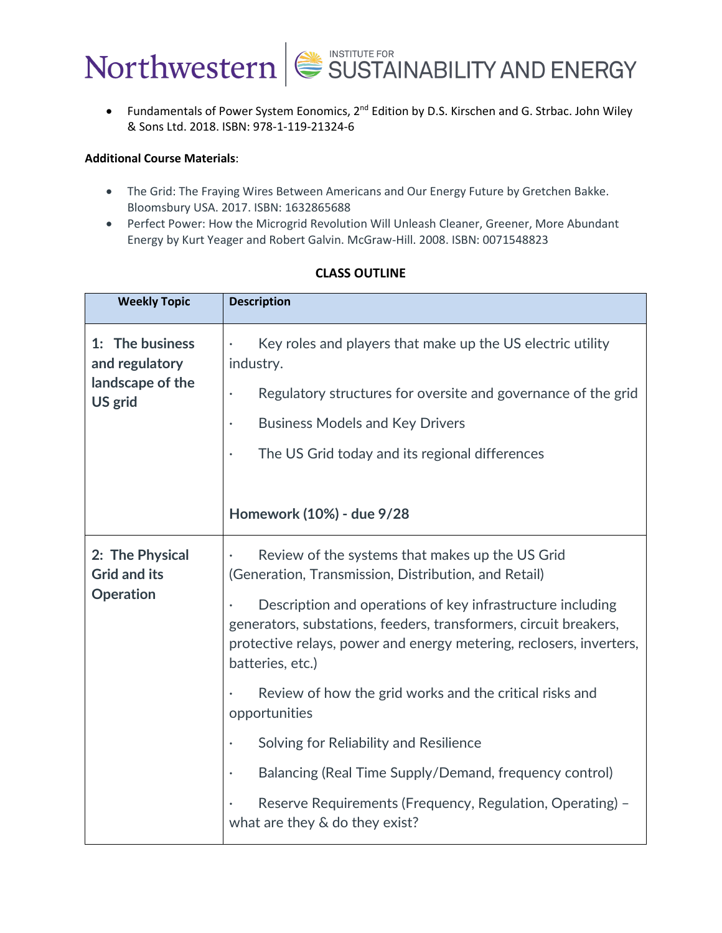

• Fundamentals of Power System Eonomics, 2<sup>nd</sup> Edition by D.S. Kirschen and G. Strbac. John Wiley & Sons Ltd. 2018. ISBN: 978-1-119-21324-6

#### **Additional Course Materials**:

- The Grid: The Fraying Wires Between Americans and Our Energy Future by Gretchen Bakke. Bloomsbury USA. 2017. ISBN: 1632865688
- Perfect Power: How the Microgrid Revolution Will Unleash Cleaner, Greener, More Abundant Energy by Kurt Yeager and Robert Galvin. McGraw-Hill. 2008. ISBN: 0071548823

| <b>Weekly Topic</b>                                   | <b>Description</b>                                                                                                                                                                                                                      |
|-------------------------------------------------------|-----------------------------------------------------------------------------------------------------------------------------------------------------------------------------------------------------------------------------------------|
| 1: The business<br>and regulatory<br>landscape of the | Key roles and players that make up the US electric utility<br>$\bullet$<br>industry.                                                                                                                                                    |
| US grid                                               | Regulatory structures for oversite and governance of the grid<br>$\bullet$                                                                                                                                                              |
|                                                       | <b>Business Models and Key Drivers</b><br>$\bullet$                                                                                                                                                                                     |
|                                                       | The US Grid today and its regional differences<br>$\bullet$                                                                                                                                                                             |
|                                                       |                                                                                                                                                                                                                                         |
|                                                       | Homework (10%) - due 9/28                                                                                                                                                                                                               |
| 2: The Physical<br><b>Grid and its</b>                | Review of the systems that makes up the US Grid<br>(Generation, Transmission, Distribution, and Retail)                                                                                                                                 |
| <b>Operation</b>                                      | Description and operations of key infrastructure including<br>$\bullet$<br>generators, substations, feeders, transformers, circuit breakers,<br>protective relays, power and energy metering, reclosers, inverters,<br>batteries, etc.) |
|                                                       | Review of how the grid works and the critical risks and<br>opportunities                                                                                                                                                                |
|                                                       | Solving for Reliability and Resilience<br>$\bullet$                                                                                                                                                                                     |
|                                                       | Balancing (Real Time Supply/Demand, frequency control)<br>$\bullet$                                                                                                                                                                     |
|                                                       | Reserve Requirements (Frequency, Regulation, Operating) -<br>what are they & do they exist?                                                                                                                                             |

### **CLASS OUTLINE**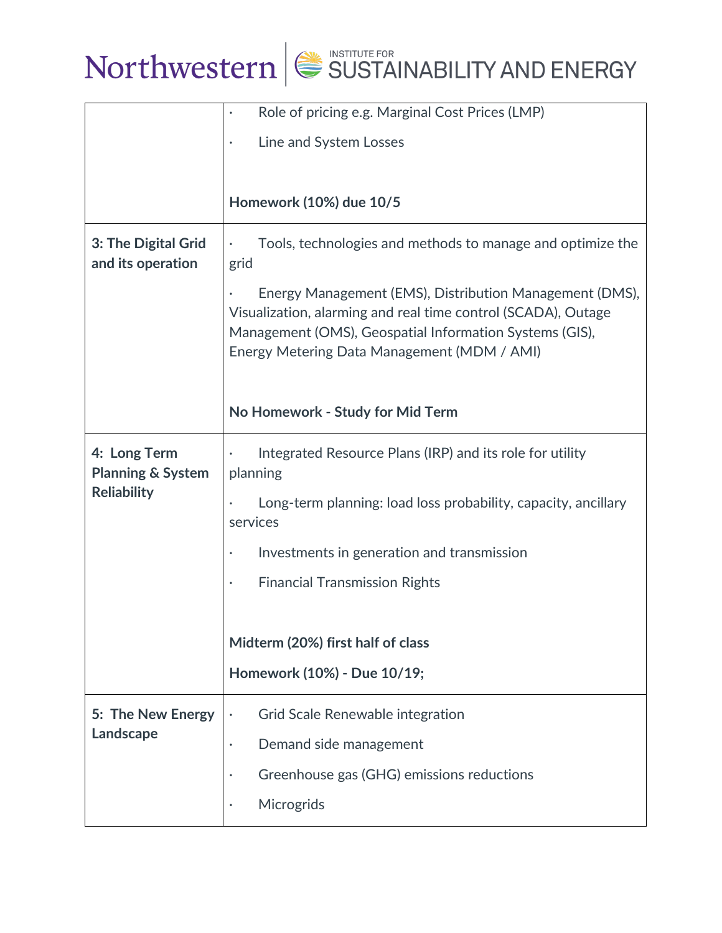

# Northwestern SUSTAINABILITY AND ENERGY

|                                              | Role of pricing e.g. Marginal Cost Prices (LMP)<br>$\bullet$                                                                                                                                                                       |  |
|----------------------------------------------|------------------------------------------------------------------------------------------------------------------------------------------------------------------------------------------------------------------------------------|--|
|                                              | Line and System Losses                                                                                                                                                                                                             |  |
|                                              |                                                                                                                                                                                                                                    |  |
|                                              | Homework (10%) due 10/5                                                                                                                                                                                                            |  |
| 3: The Digital Grid<br>and its operation     | Tools, technologies and methods to manage and optimize the<br>٠<br>grid                                                                                                                                                            |  |
|                                              | Energy Management (EMS), Distribution Management (DMS),<br>Visualization, alarming and real time control (SCADA), Outage<br>Management (OMS), Geospatial Information Systems (GIS),<br>Energy Metering Data Management (MDM / AMI) |  |
|                                              | No Homework - Study for Mid Term                                                                                                                                                                                                   |  |
| 4: Long Term<br><b>Planning &amp; System</b> | Integrated Resource Plans (IRP) and its role for utility<br>planning                                                                                                                                                               |  |
| <b>Reliability</b>                           | Long-term planning: load loss probability, capacity, ancillary<br>services                                                                                                                                                         |  |
|                                              | Investments in generation and transmission<br>$\bullet$                                                                                                                                                                            |  |
|                                              | <b>Financial Transmission Rights</b><br>$\bullet$                                                                                                                                                                                  |  |
|                                              |                                                                                                                                                                                                                                    |  |
|                                              | Midterm (20%) first half of class                                                                                                                                                                                                  |  |
|                                              | Homework (10%) - Due 10/19;                                                                                                                                                                                                        |  |
| 5: The New Energy                            | Grid Scale Renewable integration<br>$\bullet$                                                                                                                                                                                      |  |
| Landscape                                    | Demand side management<br>$\bullet$                                                                                                                                                                                                |  |
|                                              | Greenhouse gas (GHG) emissions reductions<br>$\bullet$                                                                                                                                                                             |  |
|                                              | Microgrids<br>$\bullet$                                                                                                                                                                                                            |  |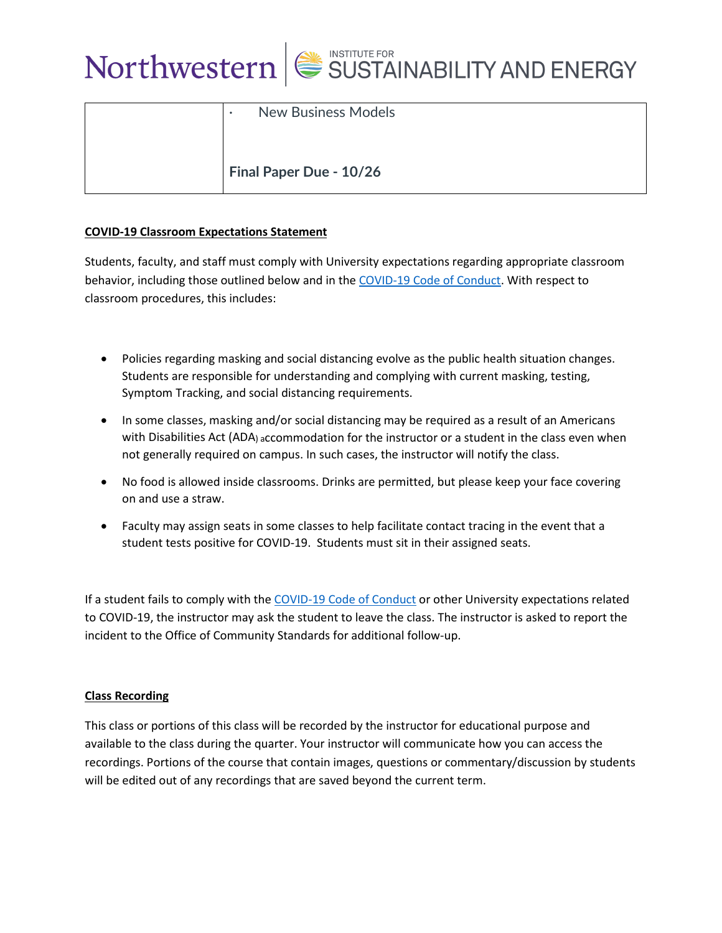

| <b>New Business Models</b><br>$\bullet$ |
|-----------------------------------------|
| Final Paper Due - 10/26                 |

#### **COVID-19 Classroom Expectations Statement**

Students, faculty, and staff must comply with University expectations regarding appropriate classroom behavior, including those outlined below and in the COVID-19 Code of Conduct. With respect to classroom procedures, this includes:

- Policies regarding masking and social distancing evolve as the public health situation changes. Students are responsible for understanding and complying with current masking, testing, Symptom Tracking, and social distancing requirements.
- In some classes, masking and/or social distancing may be required as a result of an Americans with Disabilities Act (ADA) accommodation for the instructor or a student in the class even when not generally required on campus. In such cases, the instructor will notify the class.
- No food is allowed inside classrooms. Drinks are permitted, but please keep your face covering on and use a straw.
- Faculty may assign seats in some classes to help facilitate contact tracing in the event that a student tests positive for COVID-19. Students must sit in their assigned seats.

If a student fails to comply with the COVID-19 Code of Conduct or other University expectations related to COVID-19, the instructor may ask the student to leave the class. The instructor is asked to report the incident to the Office of Community Standards for additional follow-up.

#### **Class Recording**

This class or portions of this class will be recorded by the instructor for educational purpose and available to the class during the quarter. Your instructor will communicate how you can access the recordings. Portions of the course that contain images, questions or commentary/discussion by students will be edited out of any recordings that are saved beyond the current term.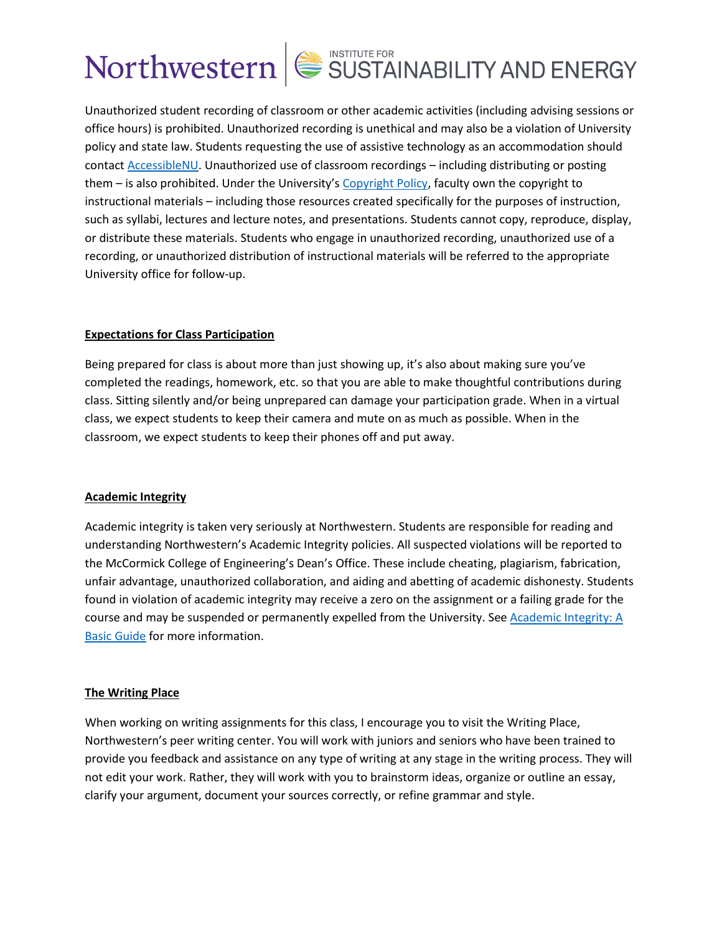## Northwestern SUSTAINABILITY AND ENERGY

Unauthorized student recording of classroom or other academic activities (including advising sessions or office hours) is prohibited. Unauthorized recording is unethical and may also be a violation of University policy and state law. Students requesting the use of assistive technology as an accommodation should contact AccessibleNU. Unauthorized use of classroom recordings – including distributing or posting them – is also prohibited. Under the University's Copyright Policy, faculty own the copyright to instructional materials – including those resources created specifically for the purposes of instruction, such as syllabi, lectures and lecture notes, and presentations. Students cannot copy, reproduce, display, or distribute these materials. Students who engage in unauthorized recording, unauthorized use of a recording, or unauthorized distribution of instructional materials will be referred to the appropriate University office for follow-up.

#### **Expectations for Class Participation**

Being prepared for class is about more than just showing up, it's also about making sure you've completed the readings, homework, etc. so that you are able to make thoughtful contributions during class. Sitting silently and/or being unprepared can damage your participation grade. When in a virtual class, we expect students to keep their camera and mute on as much as possible. When in the classroom, we expect students to keep their phones off and put away.

#### **Academic Integrity**

Academic integrity is taken very seriously at Northwestern. Students are responsible for reading and understanding Northwestern's Academic Integrity policies. All suspected violations will be reported to the McCormick College of Engineering's Dean's Office. These include cheating, plagiarism, fabrication, unfair advantage, unauthorized collaboration, and aiding and abetting of academic dishonesty. Students found in violation of academic integrity may receive a zero on the assignment or a failing grade for the course and may be suspended or permanently expelled from the University. See Academic Integrity: A Basic Guide for more information.

#### **The Writing Place**

When working on writing assignments for this class, I encourage you to visit the Writing Place, Northwestern's peer writing center. You will work with juniors and seniors who have been trained to provide you feedback and assistance on any type of writing at any stage in the writing process. They will not edit your work. Rather, they will work with you to brainstorm ideas, organize or outline an essay, clarify your argument, document your sources correctly, or refine grammar and style.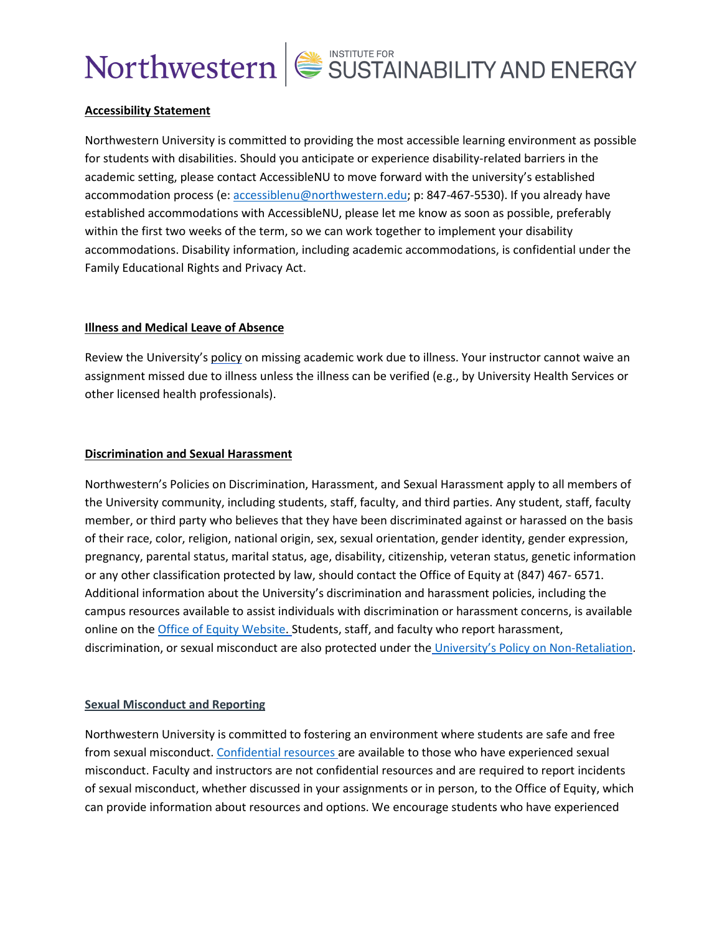## Northwestern SUSTAINABILITY AND ENERGY

#### **Accessibility Statement**

Northwestern University is committed to providing the most accessible learning environment as possible for students with disabilities. Should you anticipate or experience disability-related barriers in the academic setting, please contact AccessibleNU to move forward with the university's established accommodation process (e: accessiblenu@northwestern.edu; p: 847-467-5530). If you already have established accommodations with AccessibleNU, please let me know as soon as possible, preferably within the first two weeks of the term, so we can work together to implement your disability accommodations. Disability information, including academic accommodations, is confidential under the Family Educational Rights and Privacy Act.

#### **Illness and Medical Leave of Absence**

Review the University's policy on missing academic work due to illness. Your instructor cannot waive an assignment missed due to illness unless the illness can be verified (e.g., by University Health Services or other licensed health professionals).

#### **Discrimination and Sexual Harassment**

Northwestern's Policies on Discrimination, Harassment, and Sexual Harassment apply to all members of the University community, including students, staff, faculty, and third parties. Any student, staff, faculty member, or third party who believes that they have been discriminated against or harassed on the basis of their race, color, religion, national origin, sex, sexual orientation, gender identity, gender expression, pregnancy, parental status, marital status, age, disability, citizenship, veteran status, genetic information or any other classification protected by law, should contact the Office of Equity at (847) 467- 6571. Additional information about the University's discrimination and harassment policies, including the campus resources available to assist individuals with discrimination or harassment concerns, is available online on the Office of Equity Website. Students, staff, and faculty who report harassment, discrimination, or sexual misconduct are also protected under the University's Policy on Non-Retaliation.

#### **Sexual Misconduct and Reporting**

Northwestern University is committed to fostering an environment where students are safe and free from sexual misconduct. Confidential resources are available to those who have experienced sexual misconduct. Faculty and instructors are not confidential resources and are required to report incidents of sexual misconduct, whether discussed in your assignments or in person, to the Office of Equity, which can provide information about resources and options. We encourage students who have experienced